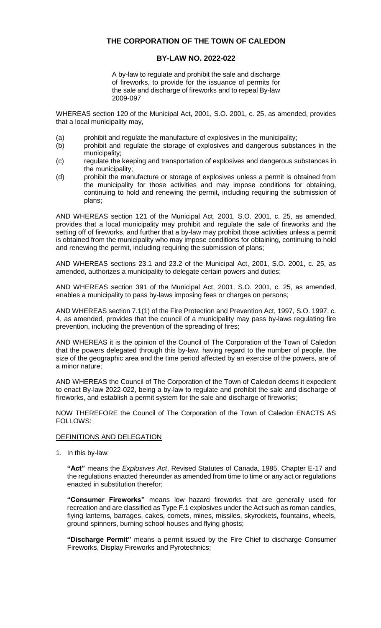# **THE CORPORATION OF THE TOWN OF CALEDON**

## **BY-LAW NO. 2022-022**

A by-law to regulate and prohibit the sale and discharge of fireworks, to provide for the issuance of permits for the sale and discharge of fireworks and to repeal By-law 2009-097

WHEREAS section 120 of the Municipal Act, 2001, S.O. 2001, c. 25, as amended, provides that a local municipality may,

- (a) prohibit and regulate the manufacture of explosives in the municipality;
- (b) prohibit and regulate the storage of explosives and dangerous substances in the municipality;
- (c) regulate the keeping and transportation of explosives and dangerous substances in the municipality;
- (d) prohibit the manufacture or storage of explosives unless a permit is obtained from the municipality for those activities and may impose conditions for obtaining, continuing to hold and renewing the permit, including requiring the submission of plans;

AND WHEREAS section 121 of the Municipal Act, 2001, S.O. 2001, c. 25, as amended, provides that a local municipality may prohibit and regulate the sale of fireworks and the setting off of fireworks, and further that a by-law may prohibit those activities unless a permit is obtained from the municipality who may impose conditions for obtaining, continuing to hold and renewing the permit, including requiring the submission of plans;

AND WHEREAS sections 23.1 and 23.2 of the Municipal Act, 2001, S.O. 2001, c. 25, as amended, authorizes a municipality to delegate certain powers and duties;

AND WHEREAS section 391 of the Municipal Act, 2001, S.O. 2001, c. 25, as amended, enables a municipality to pass by-laws imposing fees or charges on persons;

AND WHEREAS section 7.1(1) of the Fire Protection and Prevention Act, 1997, S.O. 1997, c. 4, as amended, provides that the council of a municipality may pass by-laws regulating fire prevention, including the prevention of the spreading of fires;

AND WHEREAS it is the opinion of the Council of The Corporation of the Town of Caledon that the powers delegated through this by-law, having regard to the number of people, the size of the geographic area and the time period affected by an exercise of the powers, are of a minor nature;

AND WHEREAS the Council of The Corporation of the Town of Caledon deems it expedient to enact By-law 2022-022, being a by-law to regulate and prohibit the sale and discharge of fireworks, and establish a permit system for the sale and discharge of fireworks;

NOW THEREFORE the Council of The Corporation of the Town of Caledon ENACTS AS FOLLOWS:

#### DEFINITIONS AND DELEGATION

1. In this by-law:

**"Act"** means the *Explosives Act*, Revised Statutes of Canada, 1985, Chapter E-17 and the regulations enacted thereunder as amended from time to time or any act or regulations enacted in substitution therefor;

**"Consumer Fireworks"** means low hazard fireworks that are generally used for recreation and are classified as Type F.1 explosives under the Act such as roman candles, flying lanterns, barrages, cakes, comets, mines, missiles, skyrockets, fountains, wheels, ground spinners, burning school houses and flying ghosts;

**"Discharge Permit"** means a permit issued by the Fire Chief to discharge Consumer Fireworks, Display Fireworks and Pyrotechnics;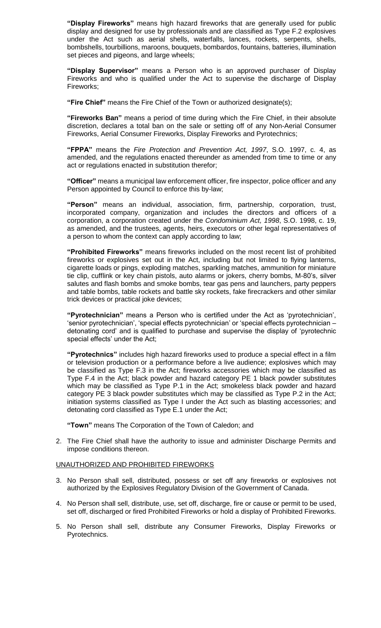**"Display Fireworks"** means high hazard fireworks that are generally used for public display and designed for use by professionals and are classified as Type F.2 explosives under the Act such as aerial shells, waterfalls, lances, rockets, serpents, shells, bombshells, tourbillions, maroons, bouquets, bombardos, fountains, batteries, illumination set pieces and pigeons, and large wheels;

**"Display Supervisor"** means a Person who is an approved purchaser of Display Fireworks and who is qualified under the Act to supervise the discharge of Display Fireworks;

**"Fire Chief"** means the Fire Chief of the Town or authorized designate(s);

**"Fireworks Ban"** means a period of time during which the Fire Chief, in their absolute discretion, declares a total ban on the sale or setting off of any Non-Aerial Consumer Fireworks, Aerial Consumer Fireworks, Display Fireworks and Pyrotechnics;

**"FPPA"** means the *Fire Protection and Prevention Act, 1997*, S.O. 1997, c. 4, as amended, and the regulations enacted thereunder as amended from time to time or any act or regulations enacted in substitution therefor;

**"Officer"** means a municipal law enforcement officer, fire inspector, police officer and any Person appointed by Council to enforce this by-law;

**"Person"** means an individual, association, firm, partnership, corporation, trust, incorporated company, organization and includes the directors and officers of a corporation, a corporation created under the *Condominium Act, 1998*, S.O. 1998, c. 19, as amended, and the trustees, agents, heirs, executors or other legal representatives of a person to whom the context can apply according to law;

**"Prohibited Fireworks"** means fireworks included on the most recent list of prohibited fireworks or explosives set out in the Act, including but not limited to flying lanterns, cigarette loads or pings, exploding matches, sparkling matches, ammunition for miniature tie clip, cufflink or key chain pistols, auto alarms or jokers, cherry bombs, M-80's, silver salutes and flash bombs and smoke bombs, tear gas pens and launchers, party peppers and table bombs, table rockets and battle sky rockets, fake firecrackers and other similar trick devices or practical joke devices;

**"Pyrotechnician"** means a Person who is certified under the Act as 'pyrotechnician', 'senior pyrotechnician', 'special effects pyrotechnician' or 'special effects pyrotechnician – detonating cord' and is qualified to purchase and supervise the display of 'pyrotechnic special effects' under the Act;

**"Pyrotechnics"** includes high hazard fireworks used to produce a special effect in a film or television production or a performance before a live audience; explosives which may be classified as Type F.3 in the Act; fireworks accessories which may be classified as Type F.4 in the Act; black powder and hazard category PE 1 black powder substitutes which may be classified as Type P.1 in the Act; smokeless black powder and hazard category PE 3 black powder substitutes which may be classified as Type P.2 in the Act; initiation systems classified as Type I under the Act such as blasting accessories; and detonating cord classified as Type E.1 under the Act;

**"Town"** means The Corporation of the Town of Caledon; and

2. The Fire Chief shall have the authority to issue and administer Discharge Permits and impose conditions thereon.

#### UNAUTHORIZED AND PROHIBITED FIREWORKS

- 3. No Person shall sell, distributed, possess or set off any fireworks or explosives not authorized by the Explosives Regulatory Division of the Government of Canada.
- 4. No Person shall sell, distribute, use, set off, discharge, fire or cause or permit to be used, set off, discharged or fired Prohibited Fireworks or hold a display of Prohibited Fireworks.
- 5. No Person shall sell, distribute any Consumer Fireworks, Display Fireworks or Pyrotechnics.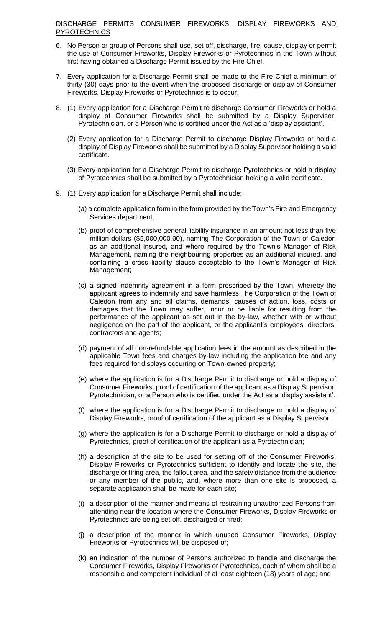# DISCHARGE PERMITS CONSUMER FIREWORKS, DISPLAY FIREWORKS AND **PYROTECHNICS**

- 6. No Person or group of Persons shall use, set off, discharge, fire, cause, display or permit the use of Consumer Fireworks, Display Fireworks or Pyrotechnics in the Town without first having obtained a Discharge Permit issued by the Fire Chief.
- 7. Every application for a Discharge Permit shall be made to the Fire Chief a minimum of thirty (30) days prior to the event when the proposed discharge or display of Consumer Fireworks, Display Fireworks or Pyrotechnics is to occur.
- 8. (1) Every application for a Discharge Permit to discharge Consumer Fireworks or hold a display of Consumer Fireworks shall be submitted by a Display Supervisor, Pyrotechnician, or a Person who is certified under the Act as a 'display assistant'.
	- (2) Every application for a Discharge Permit to discharge Display Fireworks or hold a display of Display Fireworks shall be submitted by a Display Supervisor holding a valid certificate.
	- (3) Every application for a Discharge Permit to discharge Pyrotechnics or hold a display of Pyrotechnics shall be submitted by a Pyrotechnician holding a valid certificate.
- 9. (1) Every application for a Discharge Permit shall include:
	- (a) a complete application form in the form provided by the Town's Fire and Emergency Services department;
	- (b) proof of comprehensive general liability insurance in an amount not less than five million dollars (\$5,000,000.00), naming The Corporation of the Town of Caledon as an additional insured, and where required by the Town's Manager of Risk Management, naming the neighbouring properties as an additional insured, and containing a cross liability clause acceptable to the Town's Manager of Risk Management;
	- (c) a signed indemnity agreement in a form prescribed by the Town, whereby the applicant agrees to indemnify and save harmless The Corporation of the Town of Caledon from any and all claims, demands, causes of action, loss, costs or damages that the Town may suffer, incur or be liable for resulting from the performance of the applicant as set out in the by-law, whether with or without negligence on the part of the applicant, or the applicant's employees, directors, contractors and agents;
	- (d) payment of all non-refundable application fees in the amount as described in the applicable Town fees and charges by-law including the application fee and any fees required for displays occurring on Town-owned property;
	- (e) where the application is for a Discharge Permit to discharge or hold a display of Consumer Fireworks, proof of certification of the applicant as a Display Supervisor, Pyrotechnician, or a Person who is certified under the Act as a 'display assistant'.
	- (f) where the application is for a Discharge Permit to discharge or hold a display of Display Fireworks, proof of certification of the applicant as a Display Supervisor;
	- (g) where the application is for a Discharge Permit to discharge or hold a display of Pyrotechnics, proof of certification of the applicant as a Pyrotechnician;
	- (h) a description of the site to be used for setting off of the Consumer Fireworks, Display Fireworks or Pyrotechnics sufficient to identify and locate the site, the discharge or firing area, the fallout area, and the safety distance from the audience or any member of the public, and, where more than one site is proposed, a separate application shall be made for each site;
	- (i) a description of the manner and means of restraining unauthorized Persons from attending near the location where the Consumer Fireworks, Display Fireworks or Pyrotechnics are being set off, discharged or fired;
	- (j) a description of the manner in which unused Consumer Fireworks, Display Fireworks or Pyrotechnics will be disposed of;
	- (k) an indication of the number of Persons authorized to handle and discharge the Consumer Fireworks, Display Fireworks or Pyrotechnics, each of whom shall be a responsible and competent individual of at least eighteen (18) years of age; and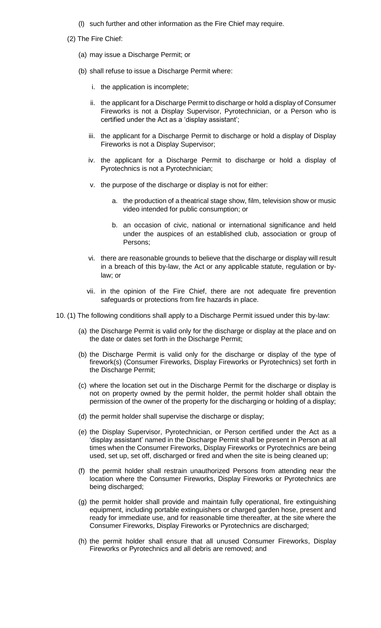- (l) such further and other information as the Fire Chief may require.
- (2) The Fire Chief:
	- (a) may issue a Discharge Permit; or
	- (b) shall refuse to issue a Discharge Permit where:
		- i. the application is incomplete;
		- ii. the applicant for a Discharge Permit to discharge or hold a display of Consumer Fireworks is not a Display Supervisor, Pyrotechnician, or a Person who is certified under the Act as a 'display assistant';
		- iii. the applicant for a Discharge Permit to discharge or hold a display of Display Fireworks is not a Display Supervisor;
		- iv. the applicant for a Discharge Permit to discharge or hold a display of Pyrotechnics is not a Pyrotechnician;
		- v. the purpose of the discharge or display is not for either:
			- a. the production of a theatrical stage show, film, television show or music video intended for public consumption; or
			- b. an occasion of civic, national or international significance and held under the auspices of an established club, association or group of Persons;
		- vi. there are reasonable grounds to believe that the discharge or display will result in a breach of this by-law, the Act or any applicable statute, regulation or bylaw; or
		- vii. in the opinion of the Fire Chief, there are not adequate fire prevention safeguards or protections from fire hazards in place.
- 10. (1) The following conditions shall apply to a Discharge Permit issued under this by-law:
	- (a) the Discharge Permit is valid only for the discharge or display at the place and on the date or dates set forth in the Discharge Permit;
	- (b) the Discharge Permit is valid only for the discharge or display of the type of firework(s) (Consumer Fireworks, Display Fireworks or Pyrotechnics) set forth in the Discharge Permit;
	- (c) where the location set out in the Discharge Permit for the discharge or display is not on property owned by the permit holder, the permit holder shall obtain the permission of the owner of the property for the discharging or holding of a display;
	- (d) the permit holder shall supervise the discharge or display;
	- (e) the Display Supervisor, Pyrotechnician, or Person certified under the Act as a 'display assistant' named in the Discharge Permit shall be present in Person at all times when the Consumer Fireworks, Display Fireworks or Pyrotechnics are being used, set up, set off, discharged or fired and when the site is being cleaned up;
	- (f) the permit holder shall restrain unauthorized Persons from attending near the location where the Consumer Fireworks, Display Fireworks or Pyrotechnics are being discharged;
	- (g) the permit holder shall provide and maintain fully operational, fire extinguishing equipment, including portable extinguishers or charged garden hose, present and ready for immediate use, and for reasonable time thereafter, at the site where the Consumer Fireworks, Display Fireworks or Pyrotechnics are discharged;
	- (h) the permit holder shall ensure that all unused Consumer Fireworks, Display Fireworks or Pyrotechnics and all debris are removed; and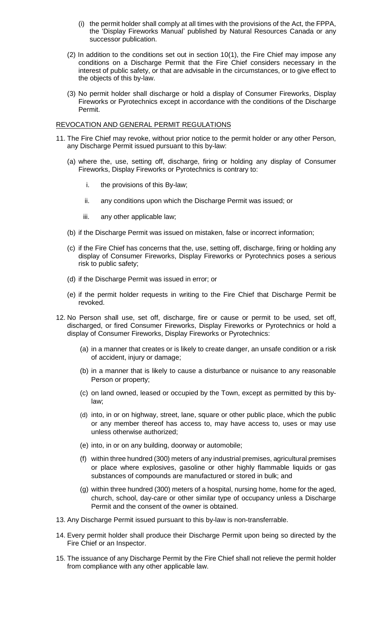- (i) the permit holder shall comply at all times with the provisions of the Act, the FPPA, the 'Display Fireworks Manual' published by Natural Resources Canada or any successor publication.
- (2) In addition to the conditions set out in section 10(1), the Fire Chief may impose any conditions on a Discharge Permit that the Fire Chief considers necessary in the interest of public safety, or that are advisable in the circumstances, or to give effect to the objects of this by-law.
- (3) No permit holder shall discharge or hold a display of Consumer Fireworks, Display Fireworks or Pyrotechnics except in accordance with the conditions of the Discharge Permit.

#### REVOCATION AND GENERAL PERMIT REGULATIONS

- 11. The Fire Chief may revoke, without prior notice to the permit holder or any other Person, any Discharge Permit issued pursuant to this by-law:
	- (a) where the, use, setting off, discharge, firing or holding any display of Consumer Fireworks, Display Fireworks or Pyrotechnics is contrary to:
		- i. the provisions of this By-law;
		- ii. any conditions upon which the Discharge Permit was issued; or
		- iii. any other applicable law;
	- (b) if the Discharge Permit was issued on mistaken, false or incorrect information;
	- (c) if the Fire Chief has concerns that the, use, setting off, discharge, firing or holding any display of Consumer Fireworks, Display Fireworks or Pyrotechnics poses a serious risk to public safety;
	- (d) if the Discharge Permit was issued in error; or
	- (e) if the permit holder requests in writing to the Fire Chief that Discharge Permit be revoked.
- 12. No Person shall use, set off, discharge, fire or cause or permit to be used, set off, discharged, or fired Consumer Fireworks, Display Fireworks or Pyrotechnics or hold a display of Consumer Fireworks, Display Fireworks or Pyrotechnics:
	- (a) in a manner that creates or is likely to create danger, an unsafe condition or a risk of accident, injury or damage;
	- (b) in a manner that is likely to cause a disturbance or nuisance to any reasonable Person or property;
	- (c) on land owned, leased or occupied by the Town, except as permitted by this bylaw;
	- (d) into, in or on highway, street, lane, square or other public place, which the public or any member thereof has access to, may have access to, uses or may use unless otherwise authorized;
	- (e) into, in or on any building, doorway or automobile;
	- (f) within three hundred (300) meters of any industrial premises, agricultural premises or place where explosives, gasoline or other highly flammable liquids or gas substances of compounds are manufactured or stored in bulk; and
	- (g) within three hundred (300) meters of a hospital, nursing home, home for the aged, church, school, day-care or other similar type of occupancy unless a Discharge Permit and the consent of the owner is obtained.
- 13. Any Discharge Permit issued pursuant to this by-law is non-transferrable.
- 14. Every permit holder shall produce their Discharge Permit upon being so directed by the Fire Chief or an Inspector.
- 15. The issuance of any Discharge Permit by the Fire Chief shall not relieve the permit holder from compliance with any other applicable law.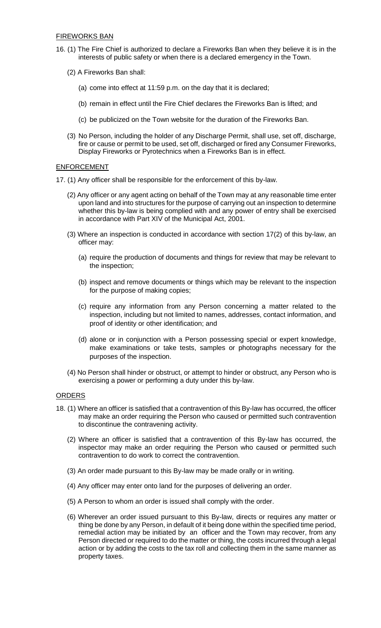- 16. (1) The Fire Chief is authorized to declare a Fireworks Ban when they believe it is in the interests of public safety or when there is a declared emergency in the Town.
	- (2) A Fireworks Ban shall:
		- (a) come into effect at 11:59 p.m. on the day that it is declared;
		- (b) remain in effect until the Fire Chief declares the Fireworks Ban is lifted; and
		- (c) be publicized on the Town website for the duration of the Fireworks Ban.
	- (3) No Person, including the holder of any Discharge Permit, shall use, set off, discharge, fire or cause or permit to be used, set off, discharged or fired any Consumer Fireworks, Display Fireworks or Pyrotechnics when a Fireworks Ban is in effect.

# ENFORCEMENT

- 17. (1) Any officer shall be responsible for the enforcement of this by-law.
	- (2) Any officer or any agent acting on behalf of the Town may at any reasonable time enter upon land and into structures for the purpose of carrying out an inspection to determine whether this by-law is being complied with and any power of entry shall be exercised in accordance with Part XIV of the Municipal Act, 2001.
	- (3) Where an inspection is conducted in accordance with section 17(2) of this by-law, an officer may:
		- (a) require the production of documents and things for review that may be relevant to the inspection;
		- (b) inspect and remove documents or things which may be relevant to the inspection for the purpose of making copies;
		- (c) require any information from any Person concerning a matter related to the inspection, including but not limited to names, addresses, contact information, and proof of identity or other identification; and
		- (d) alone or in conjunction with a Person possessing special or expert knowledge, make examinations or take tests, samples or photographs necessary for the purposes of the inspection.
	- (4) No Person shall hinder or obstruct, or attempt to hinder or obstruct, any Person who is exercising a power or performing a duty under this by-law.

#### **ORDERS**

- 18. (1) Where an officer is satisfied that a contravention of this By-law has occurred, the officer may make an order requiring the Person who caused or permitted such contravention to discontinue the contravening activity.
	- (2) Where an officer is satisfied that a contravention of this By-law has occurred, the inspector may make an order requiring the Person who caused or permitted such contravention to do work to correct the contravention.
	- (3) An order made pursuant to this By-law may be made orally or in writing.
	- (4) Any officer may enter onto land for the purposes of delivering an order.
	- (5) A Person to whom an order is issued shall comply with the order.
	- (6) Wherever an order issued pursuant to this By-law, directs or requires any matter or thing be done by any Person, in default of it being done within the specified time period, remedial action may be initiated by an officer and the Town may recover, from any Person directed or required to do the matter or thing, the costs incurred through a legal action or by adding the costs to the tax roll and collecting them in the same manner as property taxes.